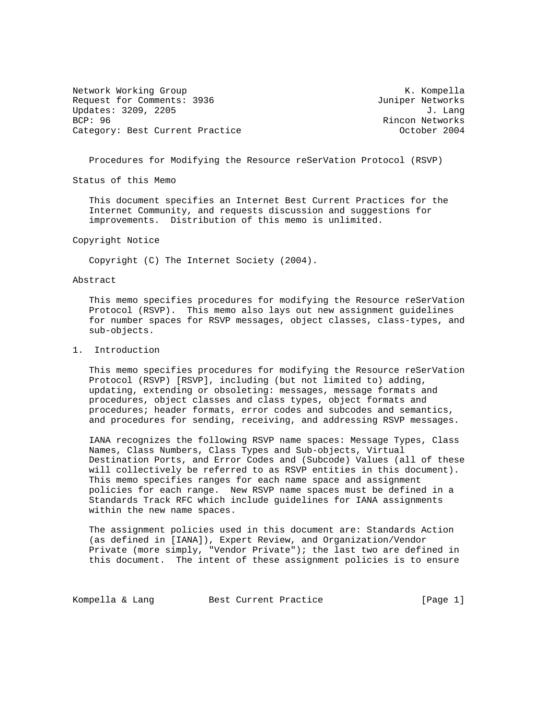Network Working Group and Month Competition and Month Competition and Month Competition and Month Competition Request for Comments: 3936 Juniper Networks Updates: 3209, 2205 J. Lang BCP: 96 Rincon Networks Category: Best Current Practice

Procedures for Modifying the Resource reSerVation Protocol (RSVP)

Status of this Memo

 This document specifies an Internet Best Current Practices for the Internet Community, and requests discussion and suggestions for improvements. Distribution of this memo is unlimited.

Copyright Notice

Copyright (C) The Internet Society (2004).

Abstract

 This memo specifies procedures for modifying the Resource reSerVation Protocol (RSVP). This memo also lays out new assignment guidelines for number spaces for RSVP messages, object classes, class-types, and sub-objects.

# 1. Introduction

 This memo specifies procedures for modifying the Resource reSerVation Protocol (RSVP) [RSVP], including (but not limited to) adding, updating, extending or obsoleting: messages, message formats and procedures, object classes and class types, object formats and procedures; header formats, error codes and subcodes and semantics, and procedures for sending, receiving, and addressing RSVP messages.

 IANA recognizes the following RSVP name spaces: Message Types, Class Names, Class Numbers, Class Types and Sub-objects, Virtual Destination Ports, and Error Codes and (Subcode) Values (all of these will collectively be referred to as RSVP entities in this document). This memo specifies ranges for each name space and assignment policies for each range. New RSVP name spaces must be defined in a Standards Track RFC which include guidelines for IANA assignments within the new name spaces.

 The assignment policies used in this document are: Standards Action (as defined in [IANA]), Expert Review, and Organization/Vendor Private (more simply, "Vendor Private"); the last two are defined in this document. The intent of these assignment policies is to ensure

Kompella & Lang Best Current Practice [Page 1]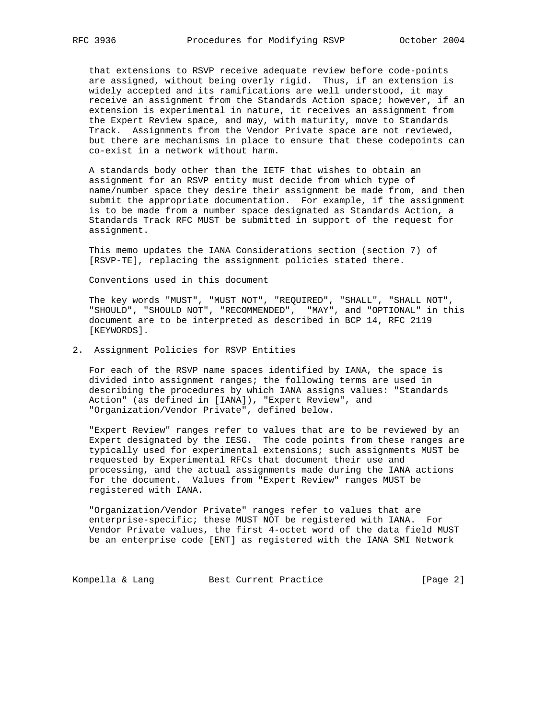that extensions to RSVP receive adequate review before code-points are assigned, without being overly rigid. Thus, if an extension is widely accepted and its ramifications are well understood, it may receive an assignment from the Standards Action space; however, if an extension is experimental in nature, it receives an assignment from the Expert Review space, and may, with maturity, move to Standards Track. Assignments from the Vendor Private space are not reviewed, but there are mechanisms in place to ensure that these codepoints can co-exist in a network without harm.

 A standards body other than the IETF that wishes to obtain an assignment for an RSVP entity must decide from which type of name/number space they desire their assignment be made from, and then submit the appropriate documentation. For example, if the assignment is to be made from a number space designated as Standards Action, a Standards Track RFC MUST be submitted in support of the request for assignment.

 This memo updates the IANA Considerations section (section 7) of [RSVP-TE], replacing the assignment policies stated there.

Conventions used in this document

 The key words "MUST", "MUST NOT", "REQUIRED", "SHALL", "SHALL NOT", "SHOULD", "SHOULD NOT", "RECOMMENDED", "MAY", and "OPTIONAL" in this document are to be interpreted as described in BCP 14, RFC 2119 [KEYWORDS].

2. Assignment Policies for RSVP Entities

 For each of the RSVP name spaces identified by IANA, the space is divided into assignment ranges; the following terms are used in describing the procedures by which IANA assigns values: "Standards Action" (as defined in [IANA]), "Expert Review", and "Organization/Vendor Private", defined below.

 "Expert Review" ranges refer to values that are to be reviewed by an Expert designated by the IESG. The code points from these ranges are typically used for experimental extensions; such assignments MUST be requested by Experimental RFCs that document their use and processing, and the actual assignments made during the IANA actions for the document. Values from "Expert Review" ranges MUST be registered with IANA.

 "Organization/Vendor Private" ranges refer to values that are enterprise-specific; these MUST NOT be registered with IANA. For Vendor Private values, the first 4-octet word of the data field MUST be an enterprise code [ENT] as registered with the IANA SMI Network

Kompella & Lang Best Current Practice [Page 2]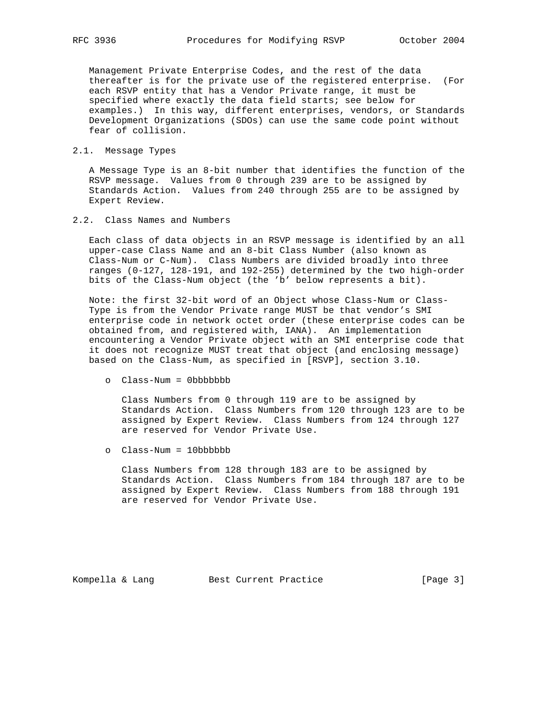Management Private Enterprise Codes, and the rest of the data thereafter is for the private use of the registered enterprise. (For each RSVP entity that has a Vendor Private range, it must be specified where exactly the data field starts; see below for examples.) In this way, different enterprises, vendors, or Standards Development Organizations (SDOs) can use the same code point without fear of collision.

## 2.1. Message Types

 A Message Type is an 8-bit number that identifies the function of the RSVP message. Values from 0 through 239 are to be assigned by Standards Action. Values from 240 through 255 are to be assigned by Expert Review.

## 2.2. Class Names and Numbers

 Each class of data objects in an RSVP message is identified by an all upper-case Class Name and an 8-bit Class Number (also known as Class-Num or C-Num). Class Numbers are divided broadly into three ranges (0-127, 128-191, and 192-255) determined by the two high-order bits of the Class-Num object (the 'b' below represents a bit).

 Note: the first 32-bit word of an Object whose Class-Num or Class- Type is from the Vendor Private range MUST be that vendor's SMI enterprise code in network octet order (these enterprise codes can be obtained from, and registered with, IANA). An implementation encountering a Vendor Private object with an SMI enterprise code that it does not recognize MUST treat that object (and enclosing message) based on the Class-Num, as specified in [RSVP], section 3.10.

o Class-Num = 0bbbbbbb

 Class Numbers from 0 through 119 are to be assigned by Standards Action. Class Numbers from 120 through 123 are to be assigned by Expert Review. Class Numbers from 124 through 127 are reserved for Vendor Private Use.

o Class-Num = 10bbbbbb

 Class Numbers from 128 through 183 are to be assigned by Standards Action. Class Numbers from 184 through 187 are to be assigned by Expert Review. Class Numbers from 188 through 191 are reserved for Vendor Private Use.

Kompella & Lang Best Current Practice [Page 3]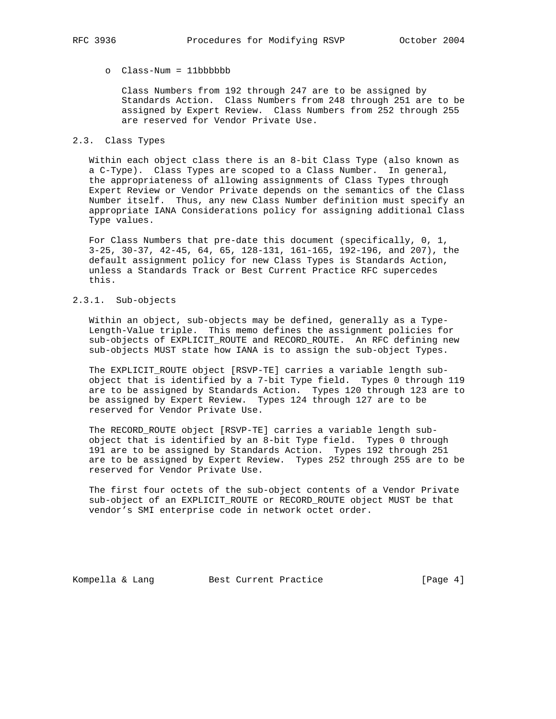# o Class-Num = 11bbbbbb

 Class Numbers from 192 through 247 are to be assigned by Standards Action. Class Numbers from 248 through 251 are to be assigned by Expert Review. Class Numbers from 252 through 255 are reserved for Vendor Private Use.

#### 2.3. Class Types

 Within each object class there is an 8-bit Class Type (also known as a C-Type). Class Types are scoped to a Class Number. In general, the appropriateness of allowing assignments of Class Types through Expert Review or Vendor Private depends on the semantics of the Class Number itself. Thus, any new Class Number definition must specify an appropriate IANA Considerations policy for assigning additional Class Type values.

 For Class Numbers that pre-date this document (specifically, 0, 1, 3-25, 30-37, 42-45, 64, 65, 128-131, 161-165, 192-196, and 207), the default assignment policy for new Class Types is Standards Action, unless a Standards Track or Best Current Practice RFC supercedes this.

# 2.3.1. Sub-objects

 Within an object, sub-objects may be defined, generally as a Type- Length-Value triple. This memo defines the assignment policies for sub-objects of EXPLICIT\_ROUTE and RECORD\_ROUTE. An RFC defining new sub-objects MUST state how IANA is to assign the sub-object Types.

 The EXPLICIT\_ROUTE object [RSVP-TE] carries a variable length sub object that is identified by a 7-bit Type field. Types 0 through 119 are to be assigned by Standards Action. Types 120 through 123 are to be assigned by Expert Review. Types 124 through 127 are to be reserved for Vendor Private Use.

 The RECORD\_ROUTE object [RSVP-TE] carries a variable length sub object that is identified by an 8-bit Type field. Types 0 through 191 are to be assigned by Standards Action. Types 192 through 251 are to be assigned by Expert Review. Types 252 through 255 are to be reserved for Vendor Private Use.

 The first four octets of the sub-object contents of a Vendor Private sub-object of an EXPLICIT\_ROUTE or RECORD\_ROUTE object MUST be that vendor's SMI enterprise code in network octet order.

Kompella & Lang Best Current Practice [Page 4]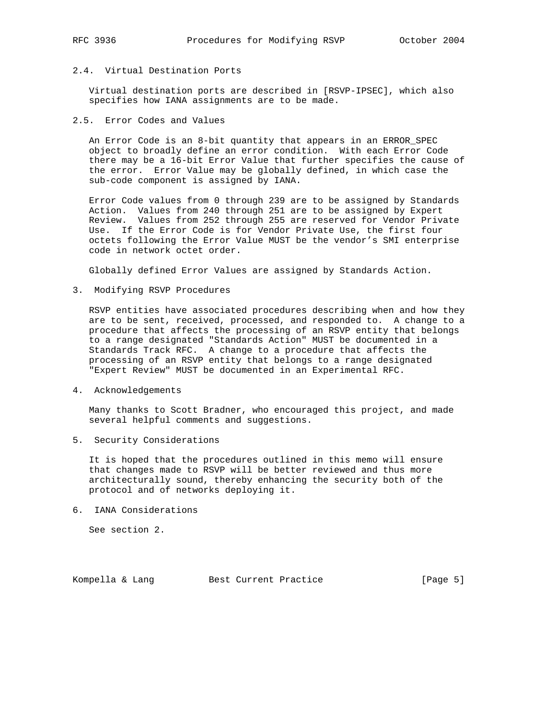# 2.4. Virtual Destination Ports

 Virtual destination ports are described in [RSVP-IPSEC], which also specifies how IANA assignments are to be made.

2.5. Error Codes and Values

 An Error Code is an 8-bit quantity that appears in an ERROR\_SPEC object to broadly define an error condition. With each Error Code there may be a 16-bit Error Value that further specifies the cause of the error. Error Value may be globally defined, in which case the sub-code component is assigned by IANA.

 Error Code values from 0 through 239 are to be assigned by Standards Action. Values from 240 through 251 are to be assigned by Expert Review. Values from 252 through 255 are reserved for Vendor Private Use. If the Error Code is for Vendor Private Use, the first four octets following the Error Value MUST be the vendor's SMI enterprise code in network octet order.

Globally defined Error Values are assigned by Standards Action.

3. Modifying RSVP Procedures

 RSVP entities have associated procedures describing when and how they are to be sent, received, processed, and responded to. A change to a procedure that affects the processing of an RSVP entity that belongs to a range designated "Standards Action" MUST be documented in a Standards Track RFC. A change to a procedure that affects the processing of an RSVP entity that belongs to a range designated "Expert Review" MUST be documented in an Experimental RFC.

4. Acknowledgements

 Many thanks to Scott Bradner, who encouraged this project, and made several helpful comments and suggestions.

5. Security Considerations

 It is hoped that the procedures outlined in this memo will ensure that changes made to RSVP will be better reviewed and thus more architecturally sound, thereby enhancing the security both of the protocol and of networks deploying it.

6. IANA Considerations

See section 2.

Kompella & Lang Best Current Practice [Page 5]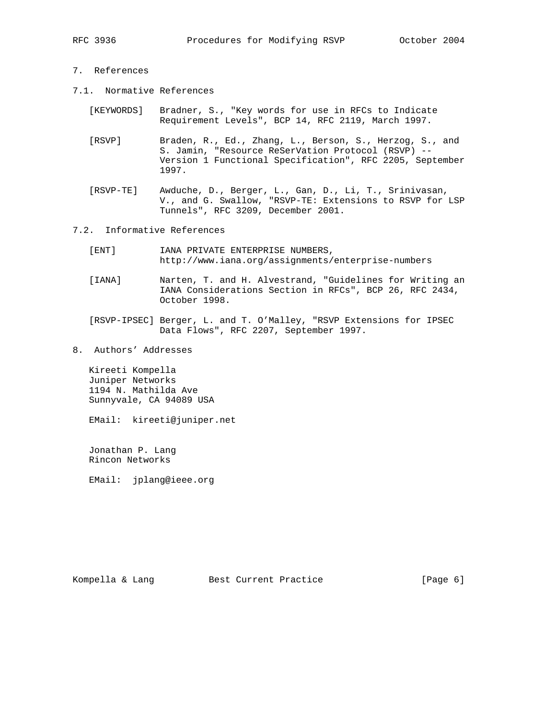- 7. References
- 7.1. Normative References
	- [KEYWORDS] Bradner, S., "Key words for use in RFCs to Indicate Requirement Levels", BCP 14, RFC 2119, March 1997.
	- [RSVP] Braden, R., Ed., Zhang, L., Berson, S., Herzog, S., and S. Jamin, "Resource ReSerVation Protocol (RSVP) -- Version 1 Functional Specification", RFC 2205, September 1997.
	- [RSVP-TE] Awduche, D., Berger, L., Gan, D., Li, T., Srinivasan, V., and G. Swallow, "RSVP-TE: Extensions to RSVP for LSP Tunnels", RFC 3209, December 2001.
- 7.2. Informative References
	- [ENT] IANA PRIVATE ENTERPRISE NUMBERS, http://www.iana.org/assignments/enterprise-numbers
	- [IANA] Narten, T. and H. Alvestrand, "Guidelines for Writing an IANA Considerations Section in RFCs", BCP 26, RFC 2434, October 1998.
	- [RSVP-IPSEC] Berger, L. and T. O'Malley, "RSVP Extensions for IPSEC Data Flows", RFC 2207, September 1997.
- 8. Authors' Addresses

 Kireeti Kompella Juniper Networks 1194 N. Mathilda Ave Sunnyvale, CA 94089 USA

EMail: kireeti@juniper.net

 Jonathan P. Lang Rincon Networks

EMail: jplang@ieee.org

Kompella & Lang Best Current Practice [Page 6]